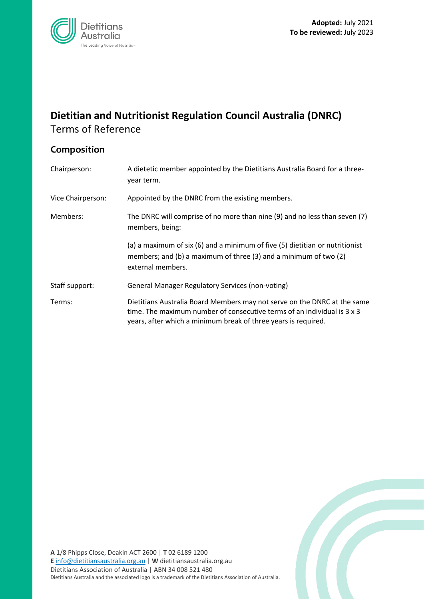Z



# **Dietitian and Nutritionist Regulation Council Australia (DNRC)** Terms of Reference

# **Composition**

| Chairperson:      | A dietetic member appointed by the Dietitians Australia Board for a three-<br>year term.                                                                                                                              |
|-------------------|-----------------------------------------------------------------------------------------------------------------------------------------------------------------------------------------------------------------------|
| Vice Chairperson: | Appointed by the DNRC from the existing members.                                                                                                                                                                      |
| Members:          | The DNRC will comprise of no more than nine (9) and no less than seven (7)<br>members, being:                                                                                                                         |
|                   | (a) a maximum of six (6) and a minimum of five (5) dietitian or nutritionist<br>members; and (b) a maximum of three (3) and a minimum of two (2)<br>external members.                                                 |
| Staff support:    | <b>General Manager Regulatory Services (non-voting)</b>                                                                                                                                                               |
| Terms:            | Dietitians Australia Board Members may not serve on the DNRC at the same<br>time. The maximum number of consecutive terms of an individual is 3 x 3<br>years, after which a minimum break of three years is required. |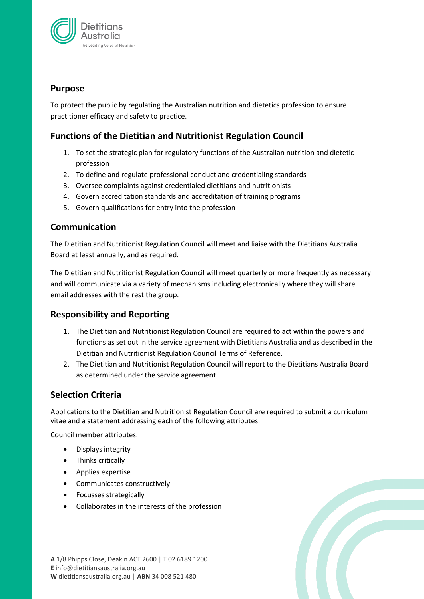

#### **Purpose**

To protect the public by regulating the Australian nutrition and dietetics profession to ensure practitioner efficacy and safety to practice.

### **Functions of the Dietitian and Nutritionist Regulation Council**

- 1. To set the strategic plan for regulatory functions of the Australian nutrition and dietetic profession
- 2. To define and regulate professional conduct and credentialing standards
- 3. Oversee complaints against credentialed dietitians and nutritionists
- 4. Govern accreditation standards and accreditation of training programs
- 5. Govern qualifications for entry into the profession

#### **Communication**

The Dietitian and Nutritionist Regulation Council will meet and liaise with the Dietitians Australia Board at least annually, and as required.

The Dietitian and Nutritionist Regulation Council will meet quarterly or more frequently as necessary and will communicate via a variety of mechanisms including electronically where they will share email addresses with the rest the group.

## **Responsibility and Reporting**

- 1. The Dietitian and Nutritionist Regulation Council are required to act within the powers and functions as set out in the service agreement with Dietitians Australia and as described in the Dietitian and Nutritionist Regulation Council Terms of Reference.
- 2. The Dietitian and Nutritionist Regulation Council will report to the Dietitians Australia Board as determined under the service agreement.

#### **Selection Criteria**

Applications to the Dietitian and Nutritionist Regulation Council are required to submit a curriculum vitae and a statement addressing each of the following attributes:

Council member attributes:

- Displays integrity
- Thinks critically
- Applies expertise
- Communicates constructively
- Focusses strategically
- Collaborates in the interests of the profession

**A** 1/8 Phipps Close, Deakin ACT 2600 | T 02 6189 1200 **E** info@dietitiansaustralia.org.au **W** dietitiansaustralia.org.au | **ABN** 34 008 521 480